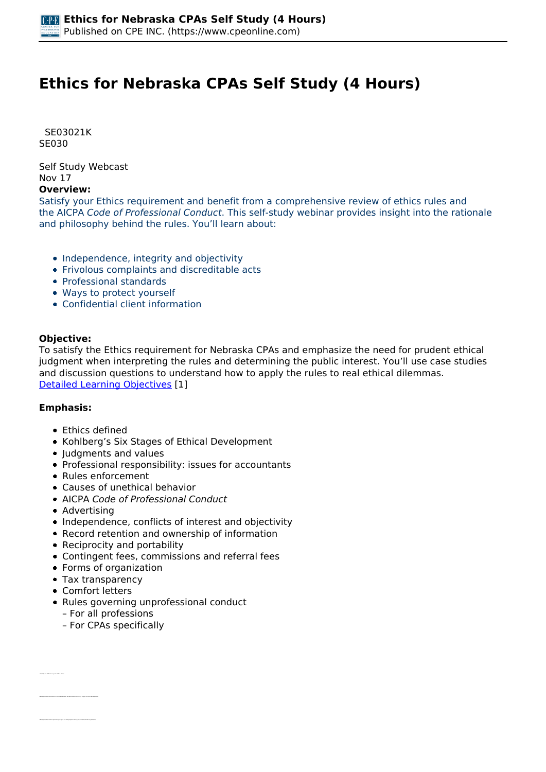# **Ethics for Nebraska CPAs Self Study (4 Hours)**

 *SE03021K SE030* 

*Self Study Webcast Nov 17* 

# **Overview:**

*Satisfy your Ethics requirement and benefit from a comprehensive review of ethics rules and the AICPA Code of Professional Conduct. This self-study webinar provides insight into the rationale and philosophy behind the rules. You'll learn about:*

- *Independence, integrity and objectivity*
- *Frivolous complaints and discreditable acts*
- *Professional standards*
- *Ways to protect yourself*
- *Confidential client information*

## **Objective:**

*To satisfy the Ethics requirement for Nebraska CPAs and emphasize the need for prudent ethical judgment when interpreting the rules and determining the public interest. You'll use case studies and discussion questions to understand how to apply the rules to real ethical dilemmas. [Detailed Learning Objectives](https://www.cpeonline.com/JavaScript:showObjectivesPopup();) [1]*

## **Emphasis:**

- *Ethics defined*
- *Kohlberg's Six Stages of Ethical Development*
- *Judgments and values*
- *Professional responsibility: issues for accountants*
- *Rules enforcement*
- *Causes of unethical behavior*
- *AICPA Code of Professional Conduct*
- *Advertising*
- *Independence, conflicts of interest and objectivity*
- *Record retention and ownership of information*
- *Reciprocity and portability*
- *Contingent fees, commissions and referral fees*
- *Forms of organization*
- *Tax transparency*
- *Comfort letters*

*• Identify the different ways to define ethics*

- *Rules governing unprofessional conduct*
	- *For all professions*
	- *For CPAs specifically*